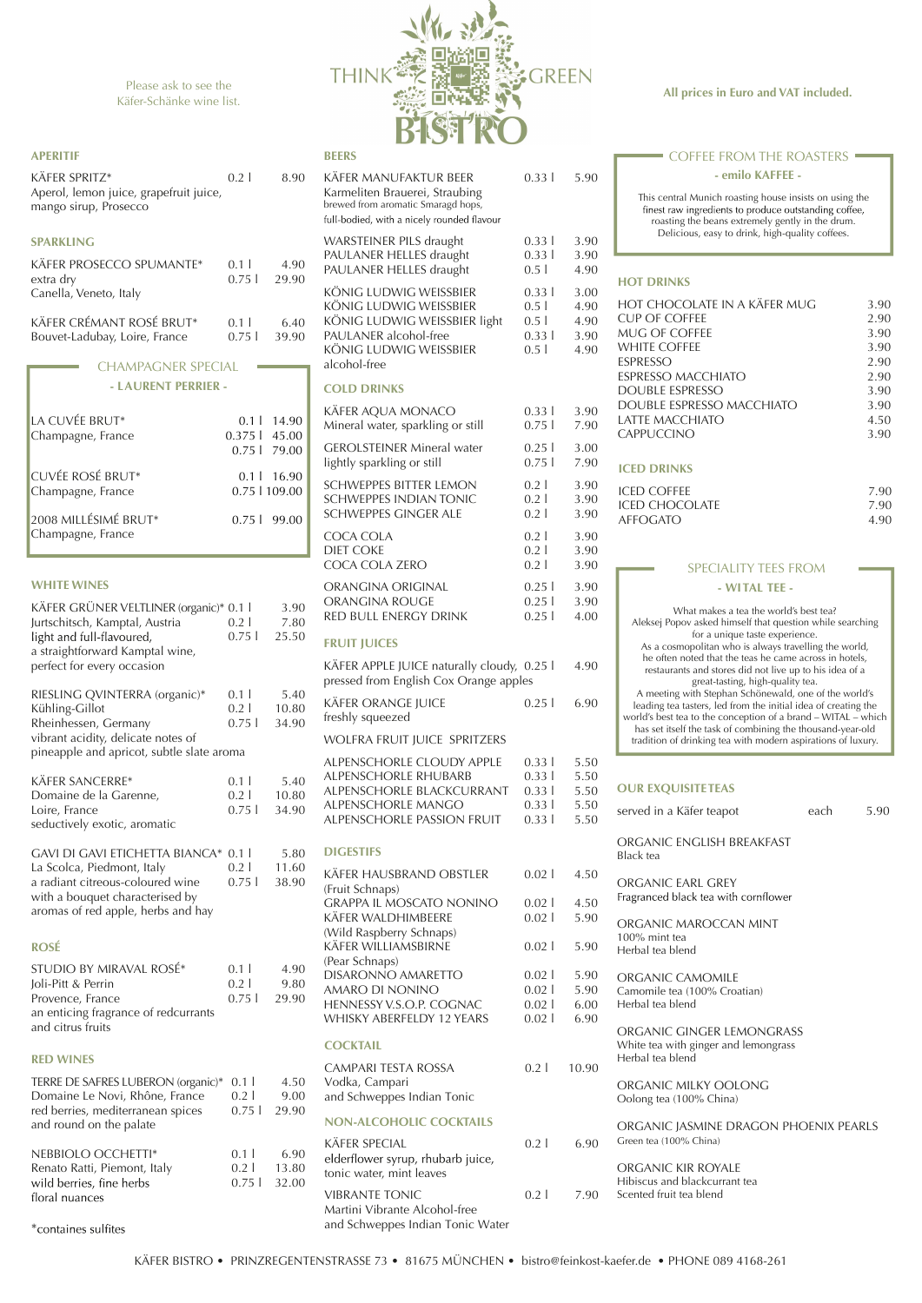### **All prices in Euro and VAT included.**

KÄFER BISTRO • PRINZREGENTENSTRASSE 73 • 81675 MÜNCHEN • bistro@feinkost-kaefer.de • PHONE 089 4168-261

KÄFER WILLIAMSBIRNE 0.02 l 5.90

Please ask to see the Käfer-Schänke wine list.

(Wild Raspberry Schnaps)

(Pear Schnaps)

# KÄFER MANUFAKTUR BEER 0.33 l 5.90 Karmeliten Brauerei, Straubing brewed from aromatic Smaragd hops, full-bodied, with a nicely rounded flavour WARSTEINER PILS draught 0.33 l 3.90 PAULANER HELLES draught 0.33 l 3.90 PAULANER HELLES draught 0.5 l 4.90 KÖNIG LUDWIG WEISSBIER 0.33 l 3.00 KÖNIG LUDWIG WEISSBIER 0.5 l 4.90 KÖNIG LUDWIG WEISSBIER light 0.5 l 4.90 PAULANER alcohol-free 0.33 l 3.90 KÖNIG LUDWIG WEISSBIER 0.5 l 4.90 alcohol-free **COLD DRINKS** KÄFER AQUA MONACO 0.33 l 3.90 Mineral water, sparkling or still  $0.75$  l 7.90 GEROLSTEINER Mineral water 0.25 | 3.00 lightly sparkling or still 0.75 l 7.90 SCHWEPPES BITTER LEMON 0.2 | 3.90 SCHWEPPES INDIAN TONIC  $0.2 1 3.90$ SCHWEPPES GINGER ALE  $0.2 \mid 3.90$ COCA COLA 0.2 | 3.90 DIET COKE 0.2 | 3.90 COCA COLA ZERO 0.2 | 3.90 ORANGINA ORIGINAL  $0.25$  | 3.90 ORANGINA ROUGE 0.25 | 3.90 RED BULL ENERGY DRINK 0.25 | 4.00 **FRUIT JUICES** KÄFER APPLE JUICE naturally cloudy,  $0.25$  | 4.90 pressed from English Cox Orange apples KÄFER ORANGE JUICE 0.25 l 6.90 freshly squeezed WOLFRA FRUIT JUICE SPRITZERS ALPENSCHORLE CLOUDY APPLE 0.33 | 5.50 ALPENSCHORLE RHUBARB 0.33 l 5.50 ALPENSCHORLE BLACKCURRANT 0.33 | 5.50 ALPENSCHORLE MANGO 0.33 | 5.50 ALPENSCHORLE PASSION FRUIT 0.33 l 5.50 **DIGESTIFS** KÄFER HAUSBRAND OBSTLER 0.02 | 4.50 (Fruit Schnaps) GRAPPA IL MOSCATO NONINO 0.02 | 4.50 KÄFER WALDHIMBEERE 0.02 l 5.90

|      |                  | 0.02   5.90 Camomile tea (100% Croatian) |
|------|------------------|------------------------------------------|
| AC   |                  | $0.02$   6.00 Herbal tea blend           |
| ARS. | $0.02 \mid 6.90$ |                                          |

| $\begin{array}{c} \n\blacksquare \n\blacksquare \n\blacksquare \n\blacksquare \n\blacksquare \n\blacksquare \n\blacksquare \n\blacksquare \n\blacksquare \n\blacksquare \n\blacksquare \n\blacksquare \n\blacksquare \n\blacksquare \n\blacksquare \n\blacksquare \n\blacksquare \n\blacksquare \n\blacksquare \n\blacksquare \n\blacksquare \n\blacksquare \n\blacksquare \n\blacksquare \n\blacksquare \n\blacksquare \n\blacksquare \n\blacksquare \n\blacksquare \n\blacksquare \n\blacksquare \n\blacksquare \n\blacksquare \n\blacksquare \n\blacksquare \n\$<br>elderflower syrup, rhubarb juice,<br>tonic water, mint leaves | $U.7 - 1$ $U.7U$ |  |
|--------------------------------------------------------------------------------------------------------------------------------------------------------------------------------------------------------------------------------------------------------------------------------------------------------------------------------------------------------------------------------------------------------------------------------------------------------------------------------------------------------------------------------------------------------------------------------------------------------------------------------------|------------------|--|
| <b>VIBRANTE TONIC</b><br>Martini Vibrante Alcohol-free                                                                                                                                                                                                                                                                                                                                                                                                                                                                                                                                                                               | 0.21790          |  |
| and Schweppes Indian Tonic Water                                                                                                                                                                                                                                                                                                                                                                                                                                                                                                                                                                                                     |                  |  |

TERRE DE SAFRES LUBERON (or Domaine Le Novi, Rhône, Fran red berries, mediterranean spic and round on the palate

This central Munich roasting house insists on using the finest raw ingredients to produce outstanding coffee, roasting the beans extremely gently in the drum. Delicious, easy to drink, high-quality coffees.

#### **- emilo KAFFEE -**

### COFFEE FROM THE ROASTERS

| HOT CHOCOLATE IN A KÄFER MUG | 3.90 |
|------------------------------|------|
| CUP OF COFFFF                | 2.90 |
| MUG OF COFFFF                | 3.90 |
| WHITE COFFFF                 | 3.90 |
| ESPRESSO                     | 2.90 |
| ESPRESSO MACCHIATO           | 2.90 |
| DOUBLE ESPRESSO              | 3.90 |
| DOUBLE ESPRESSO MACCHIATO    | 3.90 |
| I ATTF MACCHIATO             | 4.50 |
| <b>CAPPUCCINO</b>            | 3.90 |
|                              |      |

| <b>ICED COFFEE</b> | 790  |
|--------------------|------|
| ICED CHOCOLATE     | 7.90 |
| <b>AFFOGATO</b>    | 4.90 |

What makes a tea the world's best tea? Aleksej Popov asked himself that question while searching for a unique taste experience. As a cosmopolitan who is always travelling the world, he often noted that the teas he came across in hotels, restaurants and stores did not live up to his idea of a great-tasting, high-quality tea. A meeting with Stephan Schönewald, one of the world's leading tea tasters, led from the initial idea of creating the world's best tea to the conception of a brand – WITAL – which has set itself the task of combining the thousand-year-old tradition of drinking tea with modern aspirations of luxury.

| rants                      | $U. \perp$<br>$0.2$  <br>0.75 | 4.70<br>9.80<br>29.90 | <b>DISARONNO AMARETTO</b><br>AMARO DI NONINO<br>HENNESSY V.S.O.P. COGNAC<br><b>WHISKY ABERFELDY 12 YEARS</b> | 0.02<br>0.02<br>0.02<br>0.02 | 5.90<br>5.90<br>6.00<br>6.90 |
|----------------------------|-------------------------------|-----------------------|--------------------------------------------------------------------------------------------------------------|------------------------------|------------------------------|
|                            |                               |                       | <b>COCKTAIL</b>                                                                                              |                              |                              |
| ganic)* 0.1 l<br>ice<br>es | $0.2$  <br>$0.75 \downarrow$  | 4.50<br>9.00<br>29.90 | CAMPARI TESTA ROSSA<br>Vodka, Campari<br>and Schweppes Indian Tonic                                          | 0.21                         | 10.90                        |
|                            |                               |                       | <b>NON-ALCOHOLIC COCKTAILS</b>                                                                               |                              |                              |
|                            |                               | ---                   | <b>KÄFER SPECIAL</b>                                                                                         | 0.21                         | 6.90                         |

#### **- WITAL TEE -**

### SPECIALITY TEES FROM

| served in a Käfer teapot                                      | each | 590 |
|---------------------------------------------------------------|------|-----|
| ORGANIC ENGLISH BREAKFAST<br>Black tea                        |      |     |
| ORGANIC FARI GREY<br>Fragranced black tea with cornflower     |      |     |
| ORGANIC MAROCCAN MINT<br>$100\%$ mint tea<br>Herbal tea blend |      |     |

ORGANIC CAMOMILE

ORGANIC GINGER LEMONGRASS White tea with ginger and lemongrass Herbal tea blend

ORGANIC MILKY OOLONG Oolong tea (100% China)

### ORGANIC JASMINE DRAGON PHOENIX PEARLS

| 6.90 |  | Green tea (100% China) |  |
|------|--|------------------------|--|
|------|--|------------------------|--|

ORGANIC KIR ROYALE Hibiscus and blackcurrant tea Scented fruit tea blend

| NEBBIOLO OCCHETTI*           | 0.11 | 6.90           |
|------------------------------|------|----------------|
| Renato Ratti, Piemont, Italy |      | $0.2$   13.80  |
| wild berries, fine herbs     |      | $0.75$   32.00 |
| floral nuances               |      |                |
|                              |      |                |

\*containes sulfites

| STUDIO BY MIRAVAL ROSÉ*              | 011            | 4.90 |
|--------------------------------------|----------------|------|
| Joli-Pitt & Perrin                   | 021            | 9.80 |
| Provence, France                     | $0.75$   29.90 |      |
| an enticing fragrance of redcurrants |                |      |
| and citrus fruits                    |                |      |
|                                      |                |      |



| KÄFER GRÜNER VELTLINER (organic)* 0.1 l<br>Jurtschitsch, Kamptal, Austria<br>light and full-flavoured,<br>a straightforward Kamptal wine,                                        | $0.2$ l<br>$0.75$                    | 3.90<br>7.80<br>25.50  |
|----------------------------------------------------------------------------------------------------------------------------------------------------------------------------------|--------------------------------------|------------------------|
| perfect for every occasion                                                                                                                                                       |                                      |                        |
| RIESLING QVINTERRA (organic)*<br>Kühling-Gillot<br>Rheinhessen, Germany<br>vibrant acidity, delicate notes of<br>pineapple and apricot, subtle slate aroma                       | 0.11<br>0.21<br>0.751                | 5.40<br>10.80<br>34.90 |
| KÄFER SANCERRE*<br>Domaine de la Garenne,<br>Loire, France<br>seductively exotic, aromatic                                                                                       | 0.1 <sub>l</sub><br>$0.2$  <br>0.751 | 5.40<br>10.80<br>34.90 |
| <b>GAVI DI GAVI ETICHETTA BIANCA*</b><br>La Scolca, Piedmont, Italy<br>a radiant citreous-coloured wine<br>with a bouquet characterised by<br>aromas of red apple, herbs and hay | 0.11<br>0.21<br>0.751                | 5.80<br>11.60<br>38.90 |
| <b>ROSÉ</b>                                                                                                                                                                      |                                      |                        |

| <b>APERITIF</b><br>KÄFER SPRITZ*<br>Aperol, lemon juice, grapefruit juice,<br>mango sirup, Prosecco | 0.21            | 8.90                   | <b>BEERS</b><br><b>KÄFER</b><br>Karme<br>brewed<br>full-bod               |
|-----------------------------------------------------------------------------------------------------|-----------------|------------------------|---------------------------------------------------------------------------|
| <b>SPARKLING</b><br><b>KÄFER PROSECCO SPUMANTE*</b><br>extra dry<br>Canella, Veneto, Italy          | 0.1<br>0.751    | 4.90<br>29.90          | <b>WARS</b><br><b>PAULA</b><br><b>PAULA</b><br><b>KÖNI</b><br><b>KÖNI</b> |
| KÄFER CRÉMANT ROSÉ BRUT*<br>Bouvet-Ladubay, Loire, France                                           | 0.1<br>0.751    | 6.40<br>39.90          | <b>KÖNI</b><br><b>PAULA</b><br><b>KÖNI</b>                                |
| <b>CHAMPAGNER SPECIAL</b>                                                                           |                 |                        | alcoho                                                                    |
| - LAURENT PERRIER -                                                                                 |                 |                        | <b>COLD</b>                                                               |
| LA CUVÉE BRUT*<br>Champagne, France                                                                 | $0.375$   45.00 | 0.1   14.90            | <b>KÄFER</b><br>Minera                                                    |
|                                                                                                     | $0.75$          | 79.00                  | <b>GERO</b><br>lightly                                                    |
| <b>CUVÉE ROSÉ BRUT*</b><br>Champagne, France                                                        | 0.1             | 16.90<br>0.75   109.00 | <b>SCHW</b><br><b>SCHW</b>                                                |
| 2008 MILLÉSIMÉ BRUT*                                                                                | 0.751           | 99.00                  | <b>SCHW</b>                                                               |
| Champagne, France                                                                                   |                 |                        | <b>COCA</b><br>DIET <sub>C</sub><br><b>COCA</b>                           |
| <b>WHITE WINES</b>                                                                                  |                 |                        | <b>ORAN</b>                                                               |

#### **RED WINES**

### **HOT DRINKS**

## **ICED DRINKS**

### **OUR EXQUISITETEAS**